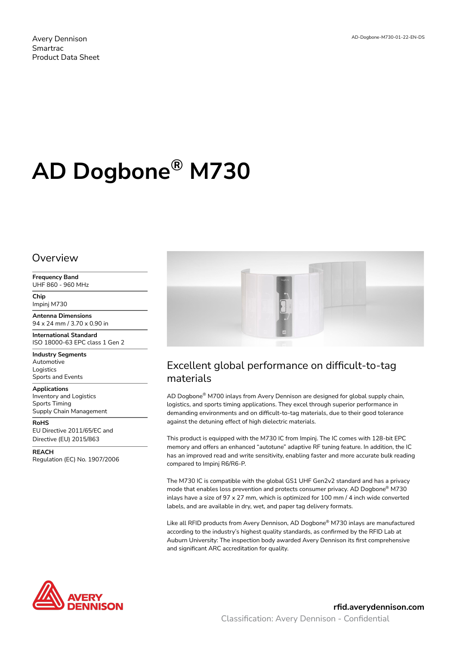# **AD Dogbone® M730**

#### Overview

**Frequency Band** UHF 860 - 960 MHz

**Chip** Impinj M730

**Antenna Dimensions** 94 x 24 mm / 3.70 x 0.90 in

**International Standard** ISO 18000-63 EPC class 1 Gen 2

**Industry Segments** Automotive Logistics Sports and Events

**Applications**

Inventory and Logistics Sports Timing Supply Chain Management

**RoHS** EU Directive 2011/65/EC and Directive (EU) 2015/863

**REACH** Regulation (EC) No. 1907/2006



## Excellent global performance on difficult-to-tag materials

AD Dogbone® M700 inlays from Avery Dennison are designed for global supply chain, logistics, and sports timing applications. They excel through superior performance in demanding environments and on difficult-to-tag materials, due to their good tolerance against the detuning effect of high dielectric materials.

This product is equipped with the M730 IC from Impinj. The IC comes with 128-bit EPC memory and offers an enhanced "autotune" adaptive RF tuning feature. In addition, the IC has an improved read and write sensitivity, enabling faster and more accurate bulk reading compared to Impinj R6/R6-P.

The M730 IC is compatible with the global GS1 UHF Gen2v2 standard and has a privacy mode that enables loss prevention and protects consumer privacy. AD Dogbone® M730 inlays have a size of  $97 \times 27$  mm, which is optimized for 100 mm / 4 inch wide converted labels, and are available in dry, wet, and paper tag delivery formats.

Like all RFID products from Avery Dennison, AD Dogbone® M730 inlays are manufactured according to the industry's highest quality standards, as confirmed by the RFID Lab at Auburn University: The inspection body awarded Avery Dennison its first comprehensive and significant ARC accreditation for quality.